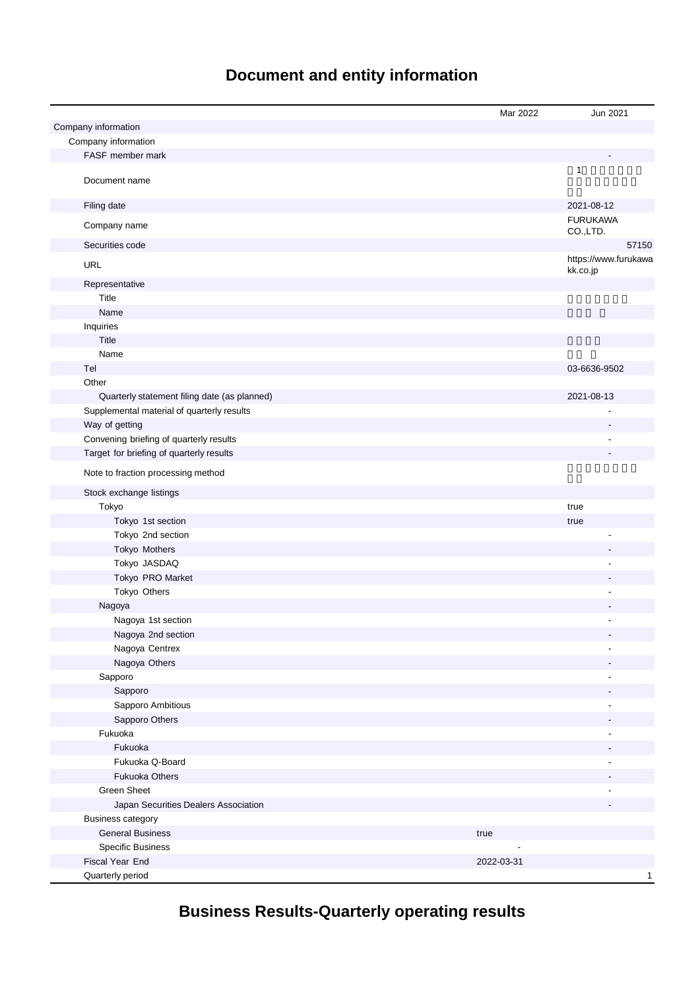## **Document and entity information**

|                                              | Mar 2022   | Jun 2021                         |
|----------------------------------------------|------------|----------------------------------|
| Company information                          |            |                                  |
| Company information                          |            |                                  |
| FASF member mark                             |            |                                  |
| Document name                                |            | $\mathbf{1}$                     |
| Filing date                                  |            | 2021-08-12                       |
| Company name                                 |            | <b>FURUKAWA</b><br>CO.,LTD.      |
| Securities code                              |            | 57150                            |
| <b>URL</b>                                   |            | https://www.furukawa<br>kk.co.jp |
| Representative                               |            |                                  |
| Title                                        |            |                                  |
| Name                                         |            |                                  |
| Inquiries                                    |            |                                  |
| Title                                        |            |                                  |
| Name                                         |            |                                  |
| Tel                                          |            | 03-6636-9502                     |
| Other                                        |            |                                  |
| Quarterly statement filing date (as planned) |            | 2021-08-13                       |
| Supplemental material of quarterly results   |            |                                  |
| Way of getting                               |            |                                  |
| Convening briefing of quarterly results      |            |                                  |
| Target for briefing of quarterly results     |            |                                  |
| Note to fraction processing method           |            |                                  |
| Stock exchange listings                      |            |                                  |
| Tokyo                                        |            |                                  |
|                                              |            | true                             |
| Tokyo 1st section                            |            | true                             |
| Tokyo 2nd section                            |            |                                  |
| Tokyo Mothers                                |            |                                  |
| Tokyo JASDAQ                                 |            |                                  |
| Tokyo PRO Market                             |            |                                  |
| Tokyo Others                                 |            |                                  |
| Nagoya                                       |            |                                  |
| Nagoya 1st section                           |            |                                  |
| Nagoya 2nd section                           |            |                                  |
| Nagoya Centrex                               |            |                                  |
| Nagoya Others                                |            |                                  |
| Sapporo                                      |            | ٠                                |
| Sapporo                                      |            |                                  |
| Sapporo Ambitious                            |            | ÷,                               |
| Sapporo Others                               |            |                                  |
| Fukuoka                                      |            | ٠                                |
| Fukuoka                                      |            |                                  |
| Fukuoka Q-Board                              |            | ä,                               |
| <b>Fukuoka Others</b>                        |            |                                  |
| <b>Green Sheet</b>                           |            |                                  |
| Japan Securities Dealers Association         |            |                                  |
| <b>Business category</b>                     |            |                                  |
| <b>General Business</b>                      | true       |                                  |
| <b>Specific Business</b>                     |            |                                  |
| Fiscal Year End                              | 2022-03-31 |                                  |
| Quarterly period                             |            | $\mathbf{1}$                     |

# **Business Results-Quarterly operating results**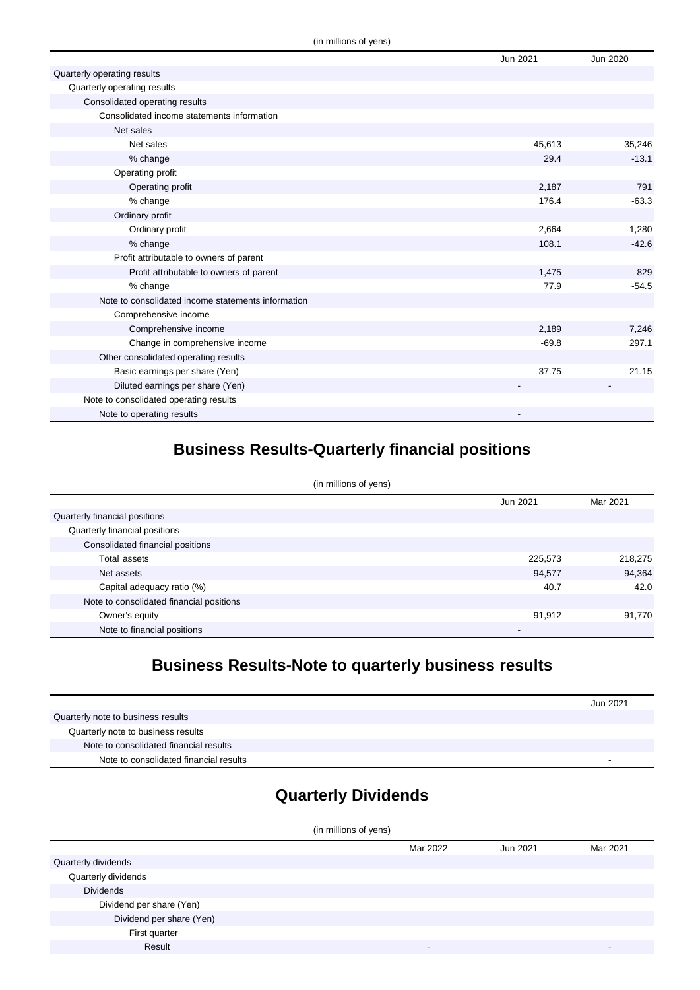|                                                    | Jun 2021 | Jun 2020 |
|----------------------------------------------------|----------|----------|
| Quarterly operating results                        |          |          |
| Quarterly operating results                        |          |          |
| Consolidated operating results                     |          |          |
| Consolidated income statements information         |          |          |
| Net sales                                          |          |          |
| Net sales                                          | 45,613   | 35,246   |
| % change                                           | 29.4     | $-13.1$  |
| Operating profit                                   |          |          |
| Operating profit                                   | 2,187    | 791      |
| % change                                           | 176.4    | $-63.3$  |
| Ordinary profit                                    |          |          |
| Ordinary profit                                    | 2,664    | 1,280    |
| % change                                           | 108.1    | $-42.6$  |
| Profit attributable to owners of parent            |          |          |
| Profit attributable to owners of parent            | 1,475    | 829      |
| % change                                           | 77.9     | $-54.5$  |
| Note to consolidated income statements information |          |          |
| Comprehensive income                               |          |          |
| Comprehensive income                               | 2,189    | 7,246    |
| Change in comprehensive income                     | $-69.8$  | 297.1    |
| Other consolidated operating results               |          |          |
| Basic earnings per share (Yen)                     | 37.75    | 21.15    |
| Diluted earnings per share (Yen)                   |          |          |
| Note to consolidated operating results             |          |          |
| Note to operating results                          |          |          |

### **Business Results-Quarterly financial positions**

| (in millions of yens)                    |          |          |  |
|------------------------------------------|----------|----------|--|
|                                          | Jun 2021 | Mar 2021 |  |
| Quarterly financial positions            |          |          |  |
| Quarterly financial positions            |          |          |  |
| Consolidated financial positions         |          |          |  |
| Total assets                             | 225,573  | 218,275  |  |
| Net assets                               | 94,577   | 94,364   |  |
| Capital adequacy ratio (%)               | 40.7     | 42.0     |  |
| Note to consolidated financial positions |          |          |  |
| Owner's equity                           | 91,912   | 91,770   |  |
| Note to financial positions              | -        |          |  |

### **Business Results-Note to quarterly business results**

|                                        | Jun 2021 |
|----------------------------------------|----------|
| Quarterly note to business results     |          |
| Quarterly note to business results     |          |
| Note to consolidated financial results |          |
| Note to consolidated financial results | -        |

# **Quarterly Dividends**

| (in millions of yens)    |          |          |          |
|--------------------------|----------|----------|----------|
|                          | Mar 2022 | Jun 2021 | Mar 2021 |
| Quarterly dividends      |          |          |          |
| Quarterly dividends      |          |          |          |
| <b>Dividends</b>         |          |          |          |
| Dividend per share (Yen) |          |          |          |
| Dividend per share (Yen) |          |          |          |
| First quarter            |          |          |          |
| Result                   |          |          |          |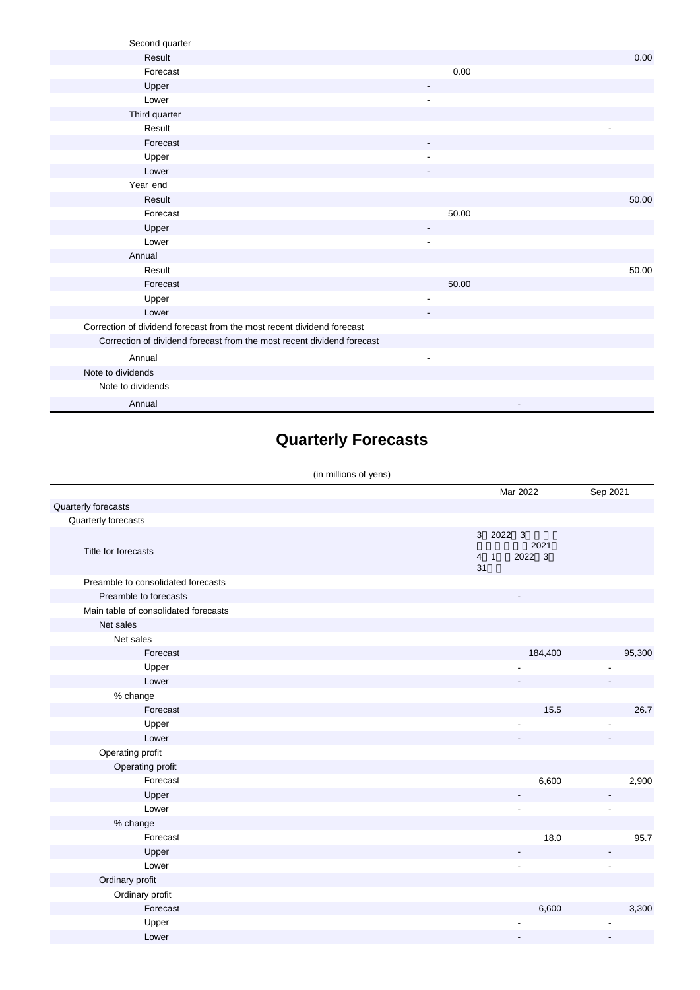| Second quarter                                                         |                          |       |
|------------------------------------------------------------------------|--------------------------|-------|
| Result                                                                 |                          | 0.00  |
| Forecast                                                               | 0.00                     |       |
| Upper                                                                  |                          |       |
| Lower                                                                  | $\blacksquare$           |       |
| Third quarter                                                          |                          |       |
| Result                                                                 |                          |       |
| Forecast                                                               |                          |       |
| Upper                                                                  |                          |       |
| Lower                                                                  |                          |       |
| Year end                                                               |                          |       |
| Result                                                                 |                          | 50.00 |
| Forecast                                                               | 50.00                    |       |
| Upper                                                                  | $\overline{\phantom{a}}$ |       |
| Lower                                                                  |                          |       |
| Annual                                                                 |                          |       |
| Result                                                                 |                          | 50.00 |
| Forecast                                                               | 50.00                    |       |
| Upper                                                                  | ٠                        |       |
| Lower                                                                  |                          |       |
| Correction of dividend forecast from the most recent dividend forecast |                          |       |
| Correction of dividend forecast from the most recent dividend forecast |                          |       |
| Annual                                                                 | ä,                       |       |
| Note to dividends                                                      |                          |       |
| Note to dividends                                                      |                          |       |
| Annual                                                                 |                          |       |

# **Quarterly Forecasts**

#### (in millions of yens)

|                                      | Mar 2022                                                 | Sep 2021       |
|--------------------------------------|----------------------------------------------------------|----------------|
| Quarterly forecasts                  |                                                          |                |
| Quarterly forecasts                  |                                                          |                |
|                                      | 3 2022 3                                                 |                |
| Title for forecasts                  | 2021<br>2022 3<br>$\overline{4}$<br>$\overline{1}$<br>31 |                |
| Preamble to consolidated forecasts   |                                                          |                |
| Preamble to forecasts                |                                                          |                |
| Main table of consolidated forecasts |                                                          |                |
| Net sales                            |                                                          |                |
| Net sales                            |                                                          |                |
| Forecast                             | 184,400                                                  | 95,300         |
| Upper                                |                                                          |                |
| Lower                                |                                                          |                |
| % change                             |                                                          |                |
| Forecast                             | 15.5                                                     | 26.7           |
| Upper                                |                                                          |                |
| Lower                                |                                                          |                |
| Operating profit                     |                                                          |                |
| Operating profit                     |                                                          |                |
| Forecast                             | 6,600                                                    | 2,900          |
| Upper                                |                                                          |                |
| Lower                                |                                                          | ٠              |
| % change                             |                                                          |                |
| Forecast                             | 18.0                                                     | 95.7           |
| Upper                                |                                                          |                |
| Lower                                | $\overline{\phantom{a}}$                                 | $\overline{a}$ |
| Ordinary profit                      |                                                          |                |
| Ordinary profit                      |                                                          |                |
| Forecast                             | 6,600                                                    | 3,300          |
| Upper                                |                                                          |                |
| Lower                                |                                                          |                |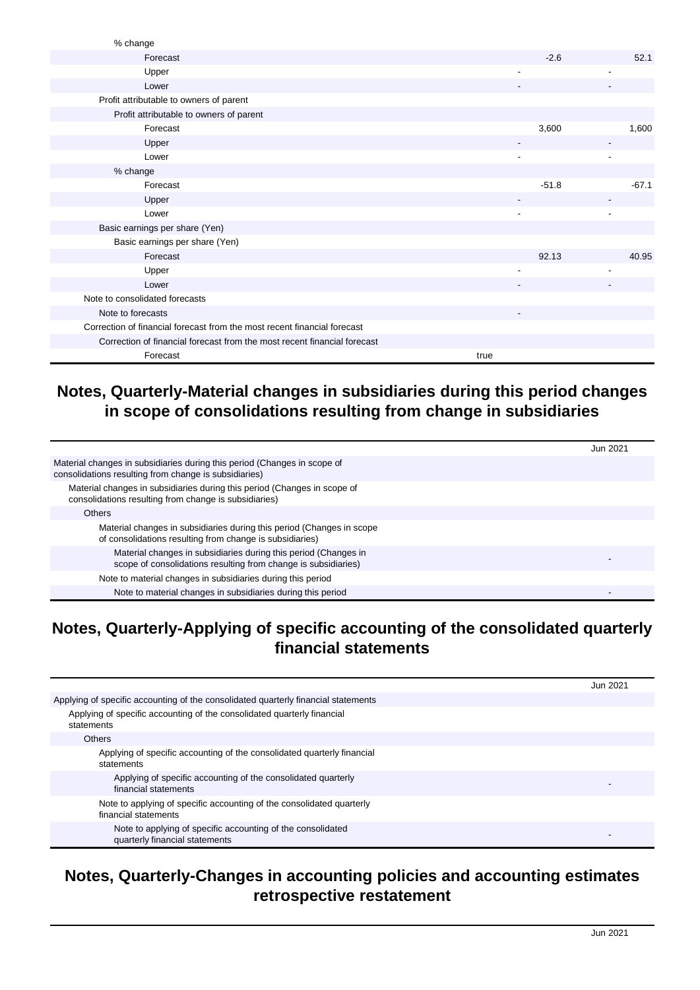| % change                                                                 |         |         |
|--------------------------------------------------------------------------|---------|---------|
| Forecast                                                                 | $-2.6$  | 52.1    |
| Upper                                                                    | ٠       |         |
| Lower                                                                    |         |         |
| Profit attributable to owners of parent                                  |         |         |
| Profit attributable to owners of parent                                  |         |         |
| Forecast                                                                 | 3,600   | 1,600   |
| Upper                                                                    |         |         |
| Lower                                                                    |         |         |
| % change                                                                 |         |         |
| Forecast                                                                 | $-51.8$ | $-67.1$ |
| Upper                                                                    |         |         |
| Lower                                                                    |         |         |
| Basic earnings per share (Yen)                                           |         |         |
| Basic earnings per share (Yen)                                           |         |         |
| Forecast                                                                 | 92.13   | 40.95   |
| Upper                                                                    |         |         |
| Lower                                                                    |         |         |
| Note to consolidated forecasts                                           |         |         |
| Note to forecasts                                                        |         |         |
| Correction of financial forecast from the most recent financial forecast |         |         |
| Correction of financial forecast from the most recent financial forecast |         |         |
| Forecast                                                                 | true    |         |

### **Notes, Quarterly-Material changes in subsidiaries during this period changes in scope of consolidations resulting from change in subsidiaries**

|                                                                                                                                   | Jun 2021 |
|-----------------------------------------------------------------------------------------------------------------------------------|----------|
| Material changes in subsidiaries during this period (Changes in scope of<br>consolidations resulting from change is subsidiaries) |          |
| Material changes in subsidiaries during this period (Changes in scope of<br>consolidations resulting from change is subsidiaries) |          |
| <b>Others</b>                                                                                                                     |          |
| Material changes in subsidiaries during this period (Changes in scope<br>of consolidations resulting from change is subsidiaries) |          |
| Material changes in subsidiaries during this period (Changes in<br>scope of consolidations resulting from change is subsidiaries) |          |
| Note to material changes in subsidiaries during this period                                                                       |          |
| Note to material changes in subsidiaries during this period                                                                       |          |

### **Notes, Quarterly-Applying of specific accounting of the consolidated quarterly financial statements**

|                                                                                               | Jun 2021 |
|-----------------------------------------------------------------------------------------------|----------|
| Applying of specific accounting of the consolidated quarterly financial statements            |          |
| Applying of specific accounting of the consolidated quarterly financial<br>statements         |          |
| <b>Others</b>                                                                                 |          |
| Applying of specific accounting of the consolidated quarterly financial<br>statements         |          |
| Applying of specific accounting of the consolidated quarterly<br>financial statements         |          |
| Note to applying of specific accounting of the consolidated quarterly<br>financial statements |          |
| Note to applying of specific accounting of the consolidated<br>quarterly financial statements |          |

### **Notes, Quarterly-Changes in accounting policies and accounting estimates retrospective restatement**